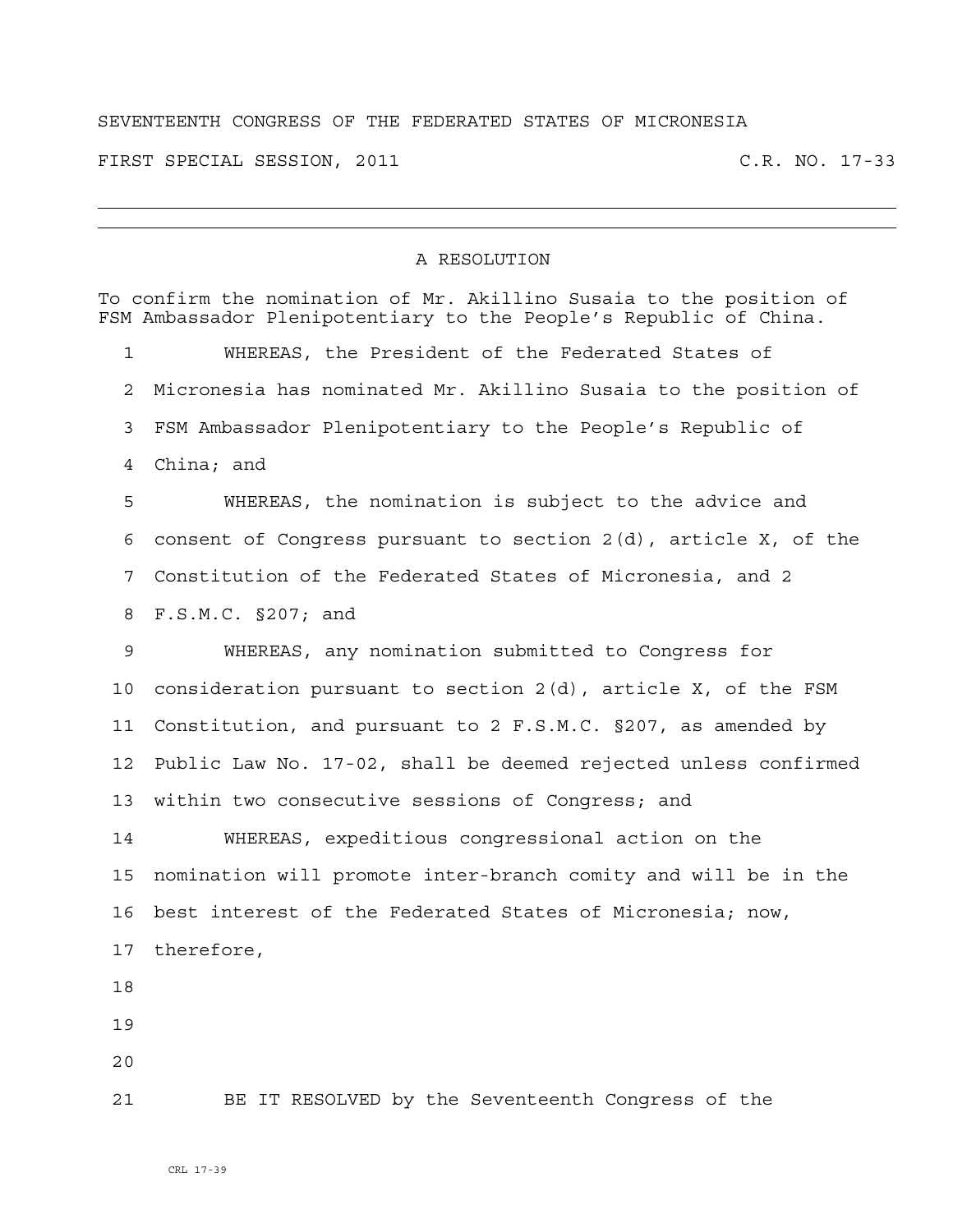## SEVENTEENTH CONGRESS OF THE FEDERATED STATES OF MICRONESIA

FIRST SPECIAL SESSION, 2011 C.R. NO. 17-33

## A RESOLUTION

|    | To confirm the nomination of Mr. Akillino Susaia to the position of<br>FSM Ambassador Plenipotentiary to the People's Republic of China. |
|----|------------------------------------------------------------------------------------------------------------------------------------------|
| 1  | WHEREAS, the President of the Federated States of                                                                                        |
| 2  | Micronesia has nominated Mr. Akillino Susaia to the position of                                                                          |
| 3  | FSM Ambassador Plenipotentiary to the People's Republic of                                                                               |
| 4  | China; and                                                                                                                               |
| 5  | WHEREAS, the nomination is subject to the advice and                                                                                     |
| 6  | consent of Congress pursuant to section 2(d), article X, of the                                                                          |
| 7  | Constitution of the Federated States of Micronesia, and 2                                                                                |
| 8  | F.S.M.C. §207; and                                                                                                                       |
| 9  | WHEREAS, any nomination submitted to Congress for                                                                                        |
| 10 | consideration pursuant to section 2(d), article X, of the FSM                                                                            |
| 11 | Constitution, and pursuant to 2 F.S.M.C. §207, as amended by                                                                             |
| 12 | Public Law No. 17-02, shall be deemed rejected unless confirmed                                                                          |
| 13 | within two consecutive sessions of Congress; and                                                                                         |
| 14 | WHEREAS, expeditious congressional action on the                                                                                         |
| 15 | nomination will promote inter-branch comity and will be in the                                                                           |
| 16 | best interest of the Federated States of Micronesia; now,                                                                                |
| 17 | therefore,                                                                                                                               |
| 18 |                                                                                                                                          |
| 19 |                                                                                                                                          |
| 20 |                                                                                                                                          |
| 21 | BE IT RESOLVED by the Seventeenth Congress of the                                                                                        |